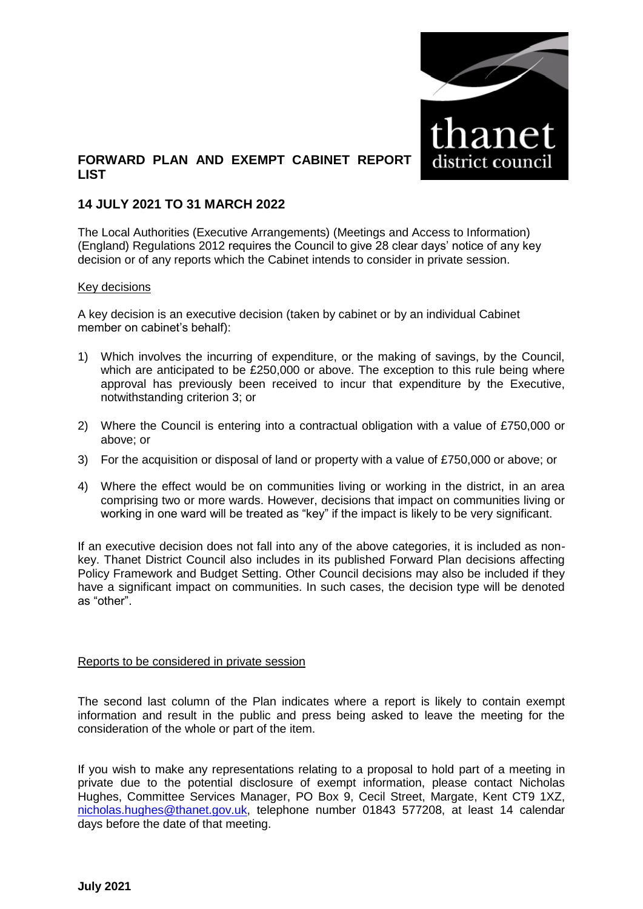

## **FORWARD PLAN AND EXEMPT CABINET REPORT LIST**

## **14 JULY 2021 TO 31 MARCH 2022**

The Local Authorities (Executive Arrangements) (Meetings and Access to Information) (England) Regulations 2012 requires the Council to give 28 clear days' notice of any key decision or of any reports which the Cabinet intends to consider in private session.

#### Key decisions

A key decision is an executive decision (taken by cabinet or by an individual Cabinet member on cabinet's behalf):

- 1) Which involves the incurring of expenditure, or the making of savings, by the Council, which are anticipated to be £250,000 or above. The exception to this rule being where approval has previously been received to incur that expenditure by the Executive, notwithstanding criterion 3; or
- 2) Where the Council is entering into a contractual obligation with a value of £750,000 or above; or
- 3) For the acquisition or disposal of land or property with a value of £750,000 or above; or
- 4) Where the effect would be on communities living or working in the district, in an area comprising two or more wards. However, decisions that impact on communities living or working in one ward will be treated as "key" if the impact is likely to be very significant.

If an executive decision does not fall into any of the above categories, it is included as nonkey. Thanet District Council also includes in its published Forward Plan decisions affecting Policy Framework and Budget Setting. Other Council decisions may also be included if they have a significant impact on communities. In such cases, the decision type will be denoted as "other".

#### Reports to be considered in private session

The second last column of the Plan indicates where a report is likely to contain exempt information and result in the public and press being asked to leave the meeting for the consideration of the whole or part of the item.

If you wish to make any representations relating to a proposal to hold part of a meeting in private due to the potential disclosure of exempt information, please contact Nicholas Hughes, Committee Services Manager, PO Box 9, Cecil Street, Margate, Kent CT9 1XZ, [nicholas.hughes@thanet.gov.uk,](mailto:nicholas.hughes@thanet.gov.uk) telephone number 01843 577208, at least 14 calendar days before the date of that meeting.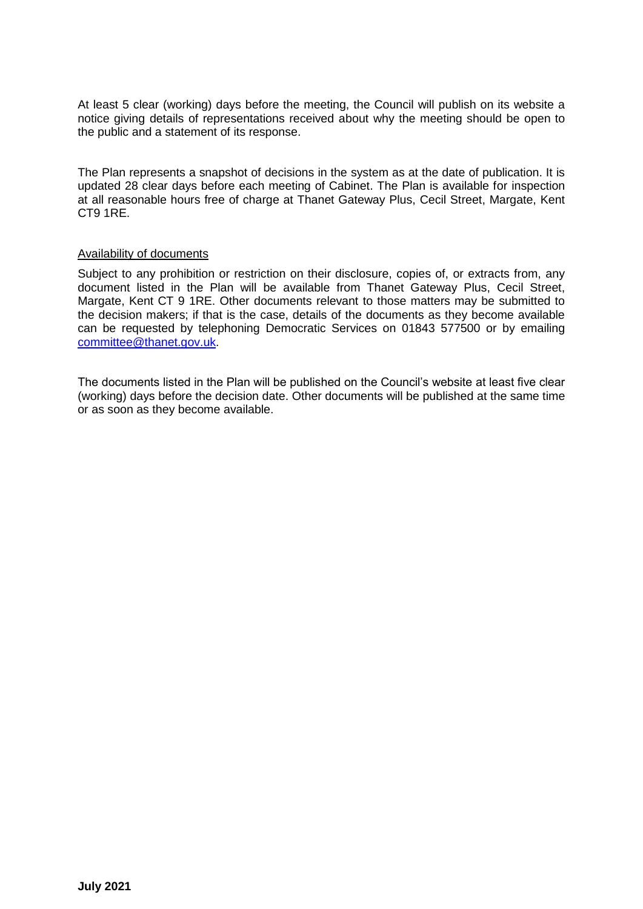At least 5 clear (working) days before the meeting, the Council will publish on its website a notice giving details of representations received about why the meeting should be open to the public and a statement of its response.

The Plan represents a snapshot of decisions in the system as at the date of publication. It is updated 28 clear days before each meeting of Cabinet. The Plan is available for inspection at all reasonable hours free of charge at Thanet Gateway Plus, Cecil Street, Margate, Kent CT9 1RE.

### Availability of documents

Subject to any prohibition or restriction on their disclosure, copies of, or extracts from, any document listed in the Plan will be available from Thanet Gateway Plus, Cecil Street, Margate, Kent CT 9 1RE. Other documents relevant to those matters may be submitted to the decision makers; if that is the case, details of the documents as they become available can be requested by telephoning Democratic Services on 01843 577500 or by emailing [committee@thanet.gov.uk.](mailto:committee@thanet.gov.uk)

The documents listed in the Plan will be published on the Council's website at least five clear (working) days before the decision date. Other documents will be published at the same time or as soon as they become available.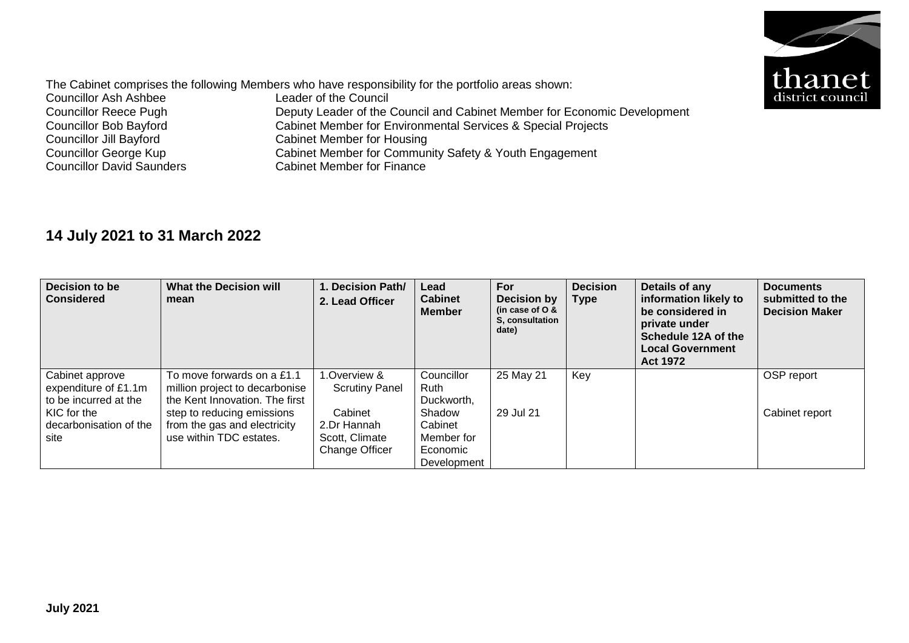

The Cabinet comprises the following Members who have responsibility for the portfolio areas shown:<br>Councillor Ash Ashbee Leader of the Council Councillor Ash Ashbee<br>Councillor Reece Pugh Councillor Reece Pugh Deputy Leader of the Council and Cabinet Member for Economic Development<br>Councillor Bob Bayford Cabinet Member for Environmental Services & Special Projects Councillor Bob Bayford<br>
Cabinet Member for Environmental Services & Special Projects<br>
Cabinet Member for Housing Councillor Jill Bayford<br>
Cabinet Member for Housing<br>
Councillor George Kup<br>
Cabinet Member for Commun Councillor George Kup<br>
Cabinet Member for Community Safety & Youth Engagement<br>
Councillor David Saunders<br>
Cabinet Member for Finance Cabinet Member for Finance

# **14 July 2021 to 31 March 2022**

| Decision to be<br><b>Considered</b>                                                                               | <b>What the Decision will</b><br>mean                                                                                                                                                   | 1. Decision Path/<br>2. Lead Officer                                                                     | Lead<br><b>Cabinet</b><br><b>Member</b>                                                        | For<br><b>Decision by</b><br>(in case of $O &$<br>S. consultation<br>date) | <b>Decision</b><br><b>Type</b> | Details of any<br>information likely to<br>be considered in<br>private under<br>Schedule 12A of the<br><b>Local Government</b><br><b>Act 1972</b> | <b>Documents</b><br>submitted to the<br><b>Decision Maker</b> |
|-------------------------------------------------------------------------------------------------------------------|-----------------------------------------------------------------------------------------------------------------------------------------------------------------------------------------|----------------------------------------------------------------------------------------------------------|------------------------------------------------------------------------------------------------|----------------------------------------------------------------------------|--------------------------------|---------------------------------------------------------------------------------------------------------------------------------------------------|---------------------------------------------------------------|
| Cabinet approve<br>expenditure of £1.1m<br>to be incurred at the<br>KIC for the<br>decarbonisation of the<br>site | To move forwards on a £1.1<br>million project to decarbonise<br>the Kent Innovation. The first<br>step to reducing emissions<br>from the gas and electricity<br>use within TDC estates. | Overview &<br><b>Scrutiny Panel</b><br>Cabinet<br>2.Dr Hannah<br>Scott, Climate<br><b>Change Officer</b> | Councillor<br>Ruth<br>Duckworth,<br>Shadow<br>Cabinet<br>Member for<br>Economic<br>Development | 25 May 21<br>29 Jul 21                                                     | Key                            |                                                                                                                                                   | OSP report<br>Cabinet report                                  |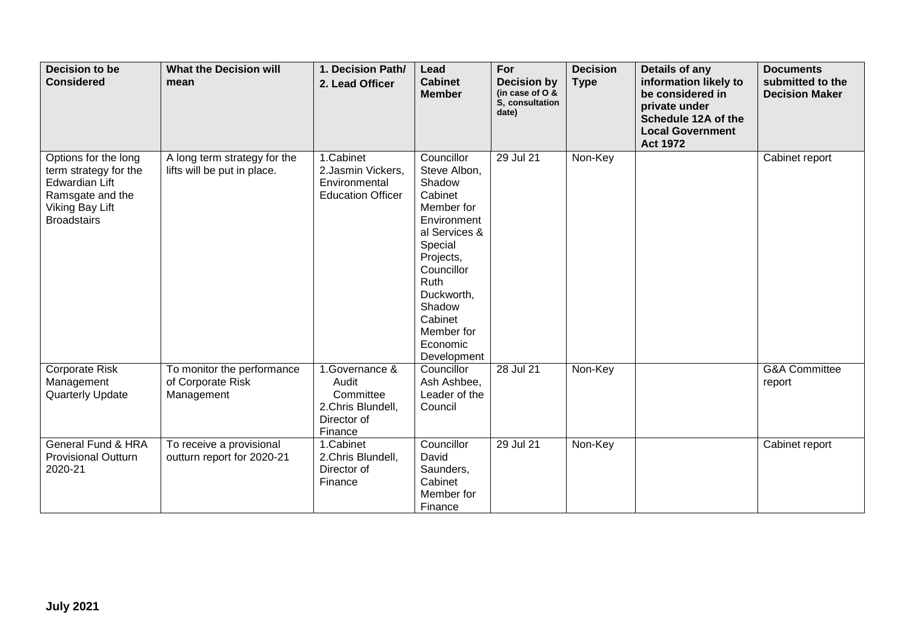| <b>Decision to be</b><br><b>Considered</b>                                                                                          | <b>What the Decision will</b><br>mean                         | 1. Decision Path/<br>2. Lead Officer                                                | Lead<br><b>Cabinet</b><br><b>Member</b>                                                                                                                                                                                 | For<br><b>Decision by</b><br>(in case of $O$ &<br>S. consultation<br>date) | <b>Decision</b><br><b>Type</b> | Details of any<br>information likely to<br>be considered in<br>private under<br>Schedule 12A of the<br><b>Local Government</b><br><b>Act 1972</b> | <b>Documents</b><br>submitted to the<br><b>Decision Maker</b> |
|-------------------------------------------------------------------------------------------------------------------------------------|---------------------------------------------------------------|-------------------------------------------------------------------------------------|-------------------------------------------------------------------------------------------------------------------------------------------------------------------------------------------------------------------------|----------------------------------------------------------------------------|--------------------------------|---------------------------------------------------------------------------------------------------------------------------------------------------|---------------------------------------------------------------|
| Options for the long<br>term strategy for the<br>Edwardian Lift<br>Ramsgate and the<br><b>Viking Bay Lift</b><br><b>Broadstairs</b> | A long term strategy for the<br>lifts will be put in place.   | 1.Cabinet<br>2.Jasmin Vickers,<br>Environmental<br><b>Education Officer</b>         | Councillor<br>Steve Albon,<br>Shadow<br>Cabinet<br>Member for<br>Environment<br>al Services &<br>Special<br>Projects,<br>Councillor<br>Ruth<br>Duckworth,<br>Shadow<br>Cabinet<br>Member for<br>Economic<br>Development | 29 Jul 21                                                                  | Non-Key                        |                                                                                                                                                   | Cabinet report                                                |
| Corporate Risk<br>Management<br>Quarterly Update                                                                                    | To monitor the performance<br>of Corporate Risk<br>Management | 1.Governance &<br>Audit<br>Committee<br>2.Chris Blundell,<br>Director of<br>Finance | Councillor<br>Ash Ashbee,<br>Leader of the<br>Council                                                                                                                                                                   | 28 Jul 21                                                                  | Non-Key                        |                                                                                                                                                   | <b>G&amp;A Committee</b><br>report                            |
| General Fund & HRA<br><b>Provisional Outturn</b><br>2020-21                                                                         | To receive a provisional<br>outturn report for 2020-21        | 1.Cabinet<br>2.Chris Blundell,<br>Director of<br>Finance                            | Councillor<br>David<br>Saunders,<br>Cabinet<br>Member for<br>Finance                                                                                                                                                    | 29 Jul 21                                                                  | Non-Key                        |                                                                                                                                                   | Cabinet report                                                |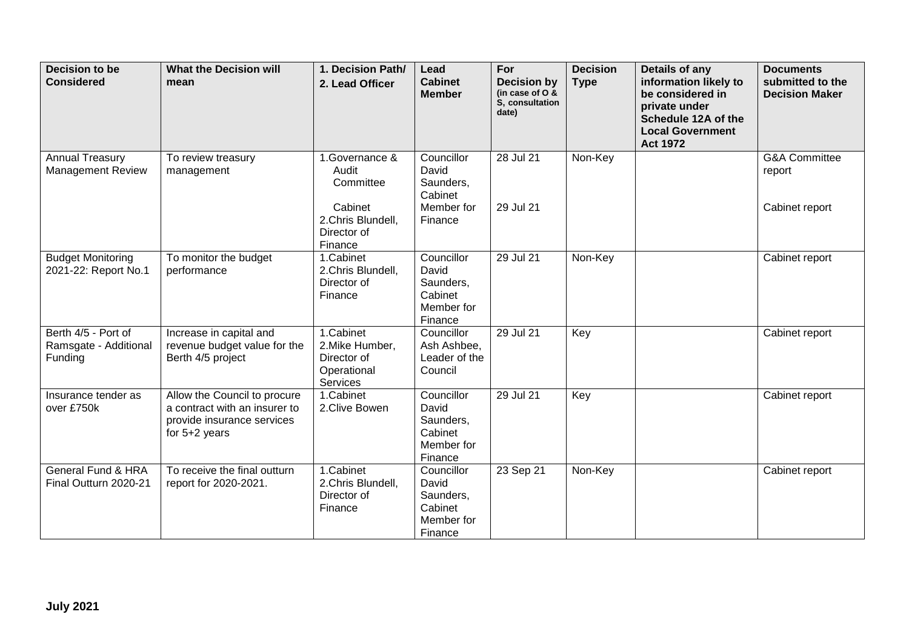| Decision to be<br><b>Considered</b>                     | <b>What the Decision will</b><br>mean                                                                          | 1. Decision Path/<br>2. Lead Officer                                                           | Lead<br><b>Cabinet</b><br><b>Member</b>                              | For<br><b>Decision by</b><br>(in case of O &<br>S, consultation<br>date) | <b>Decision</b><br><b>Type</b> | Details of any<br>information likely to<br>be considered in<br>private under<br>Schedule 12A of the<br><b>Local Government</b><br><b>Act 1972</b> | <b>Documents</b><br>submitted to the<br><b>Decision Maker</b> |
|---------------------------------------------------------|----------------------------------------------------------------------------------------------------------------|------------------------------------------------------------------------------------------------|----------------------------------------------------------------------|--------------------------------------------------------------------------|--------------------------------|---------------------------------------------------------------------------------------------------------------------------------------------------|---------------------------------------------------------------|
| <b>Annual Treasury</b><br><b>Management Review</b>      | To review treasury<br>management                                                                               | 1.Governance &<br>Audit<br>Committee<br>Cabinet<br>2.Chris Blundell,<br>Director of<br>Finance | Councillor<br>David<br>Saunders,<br>Cabinet<br>Member for<br>Finance | 28 Jul 21<br>29 Jul 21                                                   | Non-Key                        |                                                                                                                                                   | <b>G&amp;A Committee</b><br>report<br>Cabinet report          |
| <b>Budget Monitoring</b><br>2021-22: Report No.1        | To monitor the budget<br>performance                                                                           | 1.Cabinet<br>2.Chris Blundell,<br>Director of<br>Finance                                       | Councillor<br>David<br>Saunders,<br>Cabinet<br>Member for<br>Finance | 29 Jul 21                                                                | Non-Key                        |                                                                                                                                                   | Cabinet report                                                |
| Berth 4/5 - Port of<br>Ramsgate - Additional<br>Funding | Increase in capital and<br>revenue budget value for the<br>Berth 4/5 project                                   | 1.Cabinet<br>2. Mike Humber,<br>Director of<br>Operational<br>Services                         | Councillor<br>Ash Ashbee,<br>Leader of the<br>Council                | 29 Jul 21                                                                | Key                            |                                                                                                                                                   | Cabinet report                                                |
| Insurance tender as<br>over £750k                       | Allow the Council to procure<br>a contract with an insurer to<br>provide insurance services<br>for $5+2$ years | 1.Cabinet<br>2.Clive Bowen                                                                     | Councillor<br>David<br>Saunders,<br>Cabinet<br>Member for<br>Finance | 29 Jul 21                                                                | Key                            |                                                                                                                                                   | Cabinet report                                                |
| General Fund & HRA<br>Final Outturn 2020-21             | To receive the final outturn<br>report for 2020-2021.                                                          | 1.Cabinet<br>2.Chris Blundell,<br>Director of<br>Finance                                       | Councillor<br>David<br>Saunders,<br>Cabinet<br>Member for<br>Finance | 23 Sep 21                                                                | Non-Key                        |                                                                                                                                                   | Cabinet report                                                |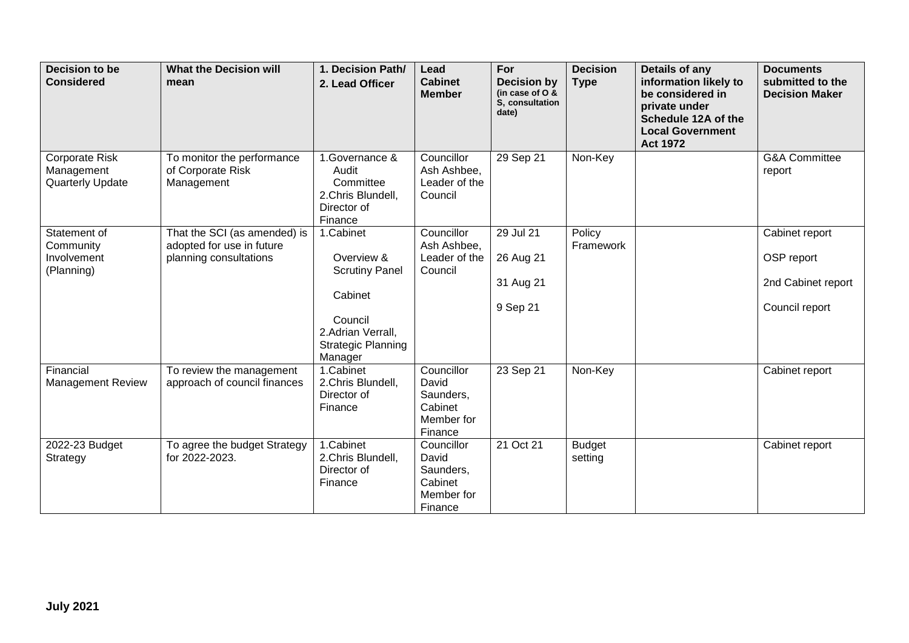| <b>Decision to be</b><br><b>Considered</b>              | <b>What the Decision will</b><br>mean                                               | 1. Decision Path/<br>2. Lead Officer                                                                                                | Lead<br><b>Cabinet</b><br><b>Member</b>                              | For<br><b>Decision by</b><br>(in case of $O$ &<br>S. consultation<br>date) | <b>Decision</b><br><b>Type</b> | Details of any<br>information likely to<br>be considered in<br>private under<br>Schedule 12A of the<br><b>Local Government</b><br><b>Act 1972</b> | <b>Documents</b><br>submitted to the<br><b>Decision Maker</b>        |
|---------------------------------------------------------|-------------------------------------------------------------------------------------|-------------------------------------------------------------------------------------------------------------------------------------|----------------------------------------------------------------------|----------------------------------------------------------------------------|--------------------------------|---------------------------------------------------------------------------------------------------------------------------------------------------|----------------------------------------------------------------------|
| Corporate Risk<br>Management<br><b>Quarterly Update</b> | To monitor the performance<br>of Corporate Risk<br>Management                       | 1.Governance &<br>Audit<br>Committee<br>2.Chris Blundell,<br>Director of<br>Finance                                                 | Councillor<br>Ash Ashbee,<br>Leader of the<br>Council                | 29 Sep 21                                                                  | Non-Key                        |                                                                                                                                                   | <b>G&amp;A Committee</b><br>report                                   |
| Statement of<br>Community<br>Involvement<br>(Planning)  | That the SCI (as amended) is<br>adopted for use in future<br>planning consultations | 1.Cabinet<br>Overview &<br><b>Scrutiny Panel</b><br>Cabinet<br>Council<br>2.Adrian Verrall,<br><b>Strategic Planning</b><br>Manager | Councillor<br>Ash Ashbee,<br>Leader of the<br>Council                | 29 Jul 21<br>26 Aug 21<br>31 Aug 21<br>9 Sep 21                            | Policy<br>Framework            |                                                                                                                                                   | Cabinet report<br>OSP report<br>2nd Cabinet report<br>Council report |
| Financial<br>Management Review                          | To review the management<br>approach of council finances                            | 1.Cabinet<br>2.Chris Blundell,<br>Director of<br>Finance                                                                            | Councillor<br>David<br>Saunders,<br>Cabinet<br>Member for<br>Finance | 23 Sep 21                                                                  | Non-Key                        |                                                                                                                                                   | Cabinet report                                                       |
| 2022-23 Budget<br>Strategy                              | To agree the budget Strategy<br>for 2022-2023.                                      | 1.Cabinet<br>2.Chris Blundell,<br>Director of<br>Finance                                                                            | Councillor<br>David<br>Saunders,<br>Cabinet<br>Member for<br>Finance | 21 Oct 21                                                                  | <b>Budget</b><br>setting       |                                                                                                                                                   | Cabinet report                                                       |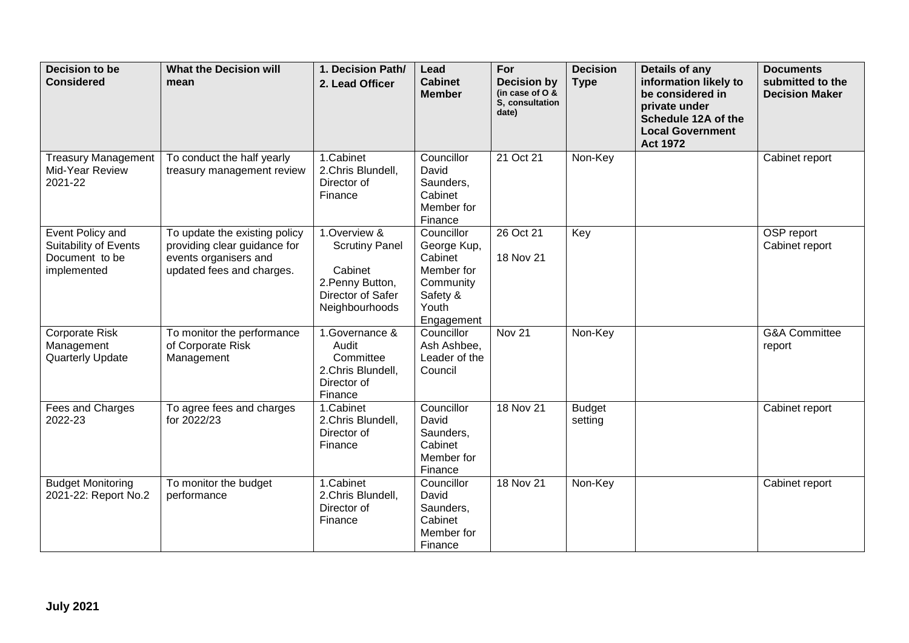| Decision to be<br><b>Considered</b>                                        | <b>What the Decision will</b><br>mean                                                                               | 1. Decision Path/<br>2. Lead Officer                                                                        | Lead<br><b>Cabinet</b><br><b>Member</b>                                                            | For<br><b>Decision by</b><br>(in case of O &<br>S. consultation<br>date) | <b>Decision</b><br><b>Type</b> | Details of any<br>information likely to<br>be considered in<br>private under<br>Schedule 12A of the<br><b>Local Government</b><br><b>Act 1972</b> | <b>Documents</b><br>submitted to the<br><b>Decision Maker</b> |
|----------------------------------------------------------------------------|---------------------------------------------------------------------------------------------------------------------|-------------------------------------------------------------------------------------------------------------|----------------------------------------------------------------------------------------------------|--------------------------------------------------------------------------|--------------------------------|---------------------------------------------------------------------------------------------------------------------------------------------------|---------------------------------------------------------------|
| <b>Treasury Management</b><br>Mid-Year Review<br>2021-22                   | To conduct the half yearly<br>treasury management review                                                            | 1.Cabinet<br>2.Chris Blundell,<br>Director of<br>Finance                                                    | Councillor<br>David<br>Saunders,<br>Cabinet<br>Member for<br>Finance                               | 21 Oct 21                                                                | Non-Key                        |                                                                                                                                                   | Cabinet report                                                |
| Event Policy and<br>Suitability of Events<br>Document to be<br>implemented | To update the existing policy<br>providing clear guidance for<br>events organisers and<br>updated fees and charges. | 1.Overview &<br><b>Scrutiny Panel</b><br>Cabinet<br>2. Penny Button,<br>Director of Safer<br>Neighbourhoods | Councillor<br>George Kup,<br>Cabinet<br>Member for<br>Community<br>Safety &<br>Youth<br>Engagement | 26 Oct 21<br>18 Nov 21                                                   | Key                            |                                                                                                                                                   | OSP report<br>Cabinet report                                  |
| Corporate Risk<br>Management<br><b>Quarterly Update</b>                    | To monitor the performance<br>of Corporate Risk<br>Management                                                       | 1.Governance &<br>Audit<br>Committee<br>2.Chris Blundell,<br>Director of<br>Finance                         | Councillor<br>Ash Ashbee,<br>Leader of the<br>Council                                              | Nov <sub>21</sub>                                                        | Non-Key                        |                                                                                                                                                   | <b>G&amp;A Committee</b><br>report                            |
| Fees and Charges<br>2022-23                                                | To agree fees and charges<br>for 2022/23                                                                            | 1.Cabinet<br>2.Chris Blundell,<br>Director of<br>Finance                                                    | Councillor<br>David<br>Saunders,<br>Cabinet<br>Member for<br>Finance                               | 18 Nov 21                                                                | <b>Budget</b><br>setting       |                                                                                                                                                   | Cabinet report                                                |
| <b>Budget Monitoring</b><br>2021-22: Report No.2                           | To monitor the budget<br>performance                                                                                | 1.Cabinet<br>2.Chris Blundell,<br>Director of<br>Finance                                                    | Councillor<br>David<br>Saunders,<br>Cabinet<br>Member for<br>Finance                               | 18 Nov 21                                                                | Non-Key                        |                                                                                                                                                   | Cabinet report                                                |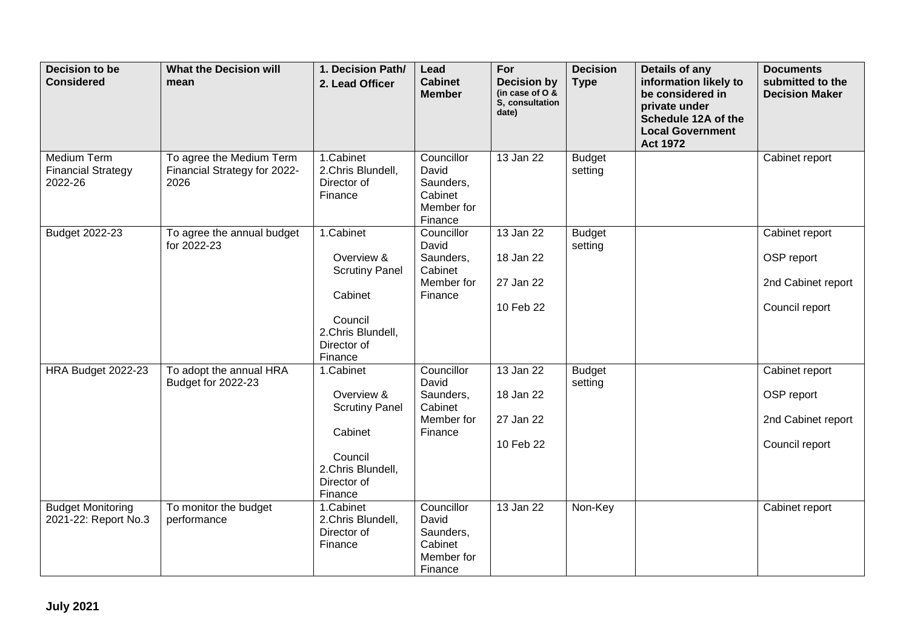| Decision to be<br><b>Considered</b>                 | <b>What the Decision will</b><br>mean                            | 1. Decision Path/<br>2. Lead Officer                                                                                  | Lead<br><b>Cabinet</b><br><b>Member</b>                              | For<br><b>Decision by</b><br>(in case of $O$ &<br>S, consultation<br>date) | <b>Decision</b><br><b>Type</b> | Details of any<br>information likely to<br>be considered in<br>private under<br>Schedule 12A of the<br><b>Local Government</b><br><b>Act 1972</b> | <b>Documents</b><br>submitted to the<br><b>Decision Maker</b>        |
|-----------------------------------------------------|------------------------------------------------------------------|-----------------------------------------------------------------------------------------------------------------------|----------------------------------------------------------------------|----------------------------------------------------------------------------|--------------------------------|---------------------------------------------------------------------------------------------------------------------------------------------------|----------------------------------------------------------------------|
| Medium Term<br><b>Financial Strategy</b><br>2022-26 | To agree the Medium Term<br>Financial Strategy for 2022-<br>2026 | 1.Cabinet<br>2.Chris Blundell,<br>Director of<br>Finance                                                              | Councillor<br>David<br>Saunders,<br>Cabinet<br>Member for<br>Finance | 13 Jan 22                                                                  | <b>Budget</b><br>setting       |                                                                                                                                                   | Cabinet report                                                       |
| Budget 2022-23                                      | To agree the annual budget<br>for 2022-23                        | 1.Cabinet<br>Overview &<br><b>Scrutiny Panel</b><br>Cabinet<br>Council<br>2.Chris Blundell,<br>Director of<br>Finance | Councillor<br>David<br>Saunders,<br>Cabinet<br>Member for<br>Finance | 13 Jan 22<br>18 Jan 22<br>27 Jan 22<br>10 Feb 22                           | <b>Budget</b><br>setting       |                                                                                                                                                   | Cabinet report<br>OSP report<br>2nd Cabinet report<br>Council report |
| HRA Budget 2022-23                                  | To adopt the annual HRA<br>Budget for 2022-23                    | 1.Cabinet<br>Overview &<br><b>Scrutiny Panel</b><br>Cabinet<br>Council<br>2.Chris Blundell,<br>Director of<br>Finance | Councillor<br>David<br>Saunders,<br>Cabinet<br>Member for<br>Finance | 13 Jan 22<br>18 Jan 22<br>27 Jan 22<br>10 Feb 22                           | <b>Budget</b><br>setting       |                                                                                                                                                   | Cabinet report<br>OSP report<br>2nd Cabinet report<br>Council report |
| <b>Budget Monitoring</b><br>2021-22: Report No.3    | To monitor the budget<br>performance                             | 1.Cabinet<br>2.Chris Blundell,<br>Director of<br>Finance                                                              | Councillor<br>David<br>Saunders,<br>Cabinet<br>Member for<br>Finance | 13 Jan 22                                                                  | Non-Key                        |                                                                                                                                                   | Cabinet report                                                       |